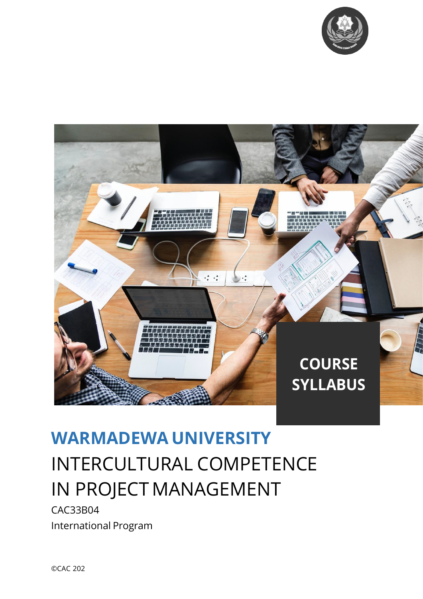



# **WARMADEWA UNIVERSITY** INTERCULTURAL COMPETENCE IN PROJECT MANAGEMENT

CAC33B04 International Program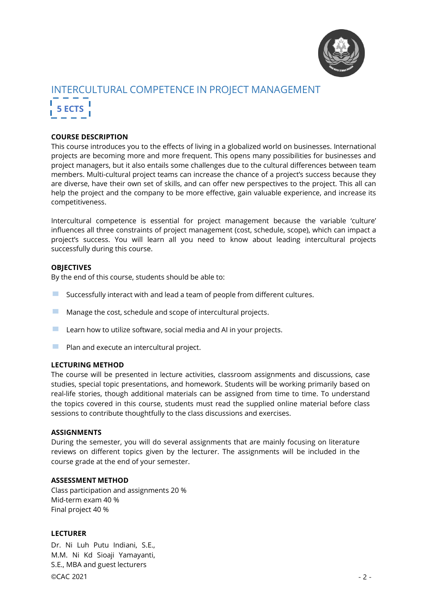

# INTERCULTURAL COMPETENCE IN PROJECT MANAGEMENT **5 ECTS**

## **COURSE DESCRIPTION**

This course introduces you to the effects of living in a globalized world on businesses. International projects are becoming more and more frequent. This opens many possibilities for businesses and project managers, but it also entails some challenges due to the cultural differences between team members. Multi-cultural project teams can increase the chance of a project's success because they are diverse, have their own set of skills, and can offer new perspectives to the project. This all can help the project and the company to be more effective, gain valuable experience, and increase its competitiveness.

Intercultural competence is essential for project management because the variable 'culture' influences all three constraints of project management (cost, schedule, scope), which can impact a project's success. You will learn all you need to know about leading intercultural projects successfully during this course.

#### **OBJECTIVES**

By the end of this course, students should be able to:

- $\blacksquare$  Successfully interact with and lead a team of people from different cultures.
- **EXECUTE:** Manage the cost, schedule and scope of intercultural projects.
- $\blacksquare$  Learn how to utilize software, social media and AI in your projects.
- $\blacksquare$  Plan and execute an intercultural project.

#### **LECTURING METHOD**

The course will be presented in lecture activities, classroom assignments and discussions, case studies, special topic presentations, and homework. Students will be working primarily based on real-life stories, though additional materials can be assigned from time to time. To understand the topics covered in this course, students must read the supplied online material before class sessions to contribute thoughtfully to the class discussions and exercises.

#### **ASSIGNMENTS**

During the semester, you will do several assignments that are mainly focusing on literature reviews on different topics given by the lecturer. The assignments will be included in the course grade at the end of your semester.

## **ASSESSMENT METHOD**

Class participation and assignments 20 % Mid-term exam 40 % Final project 40 %

#### **LECTURER**

Dr. Ni Luh Putu Indiani, S.E., M.M. Ni Kd Sioaji Yamayanti, S.E., MBA and guest lecturers

©CAC 2021 - 2 -